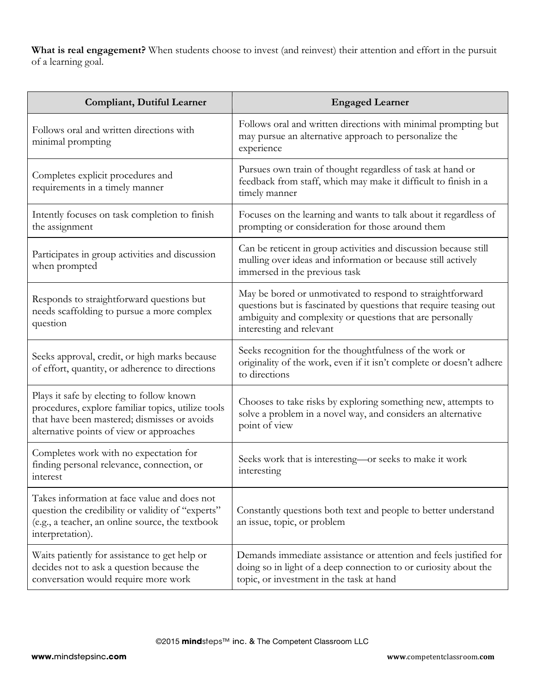**What is real engagement?** When students choose to invest (and reinvest) their attention and effort in the pursuit of a learning goal.

| <b>Compliant, Dutiful Learner</b>                                                                                                                                                           | <b>Engaged Learner</b>                                                                                                                                                                                                  |
|---------------------------------------------------------------------------------------------------------------------------------------------------------------------------------------------|-------------------------------------------------------------------------------------------------------------------------------------------------------------------------------------------------------------------------|
| Follows oral and written directions with<br>minimal prompting                                                                                                                               | Follows oral and written directions with minimal prompting but<br>may pursue an alternative approach to personalize the<br>experience                                                                                   |
| Completes explicit procedures and<br>requirements in a timely manner                                                                                                                        | Pursues own train of thought regardless of task at hand or<br>feedback from staff, which may make it difficult to finish in a<br>timely manner                                                                          |
| Intently focuses on task completion to finish<br>the assignment                                                                                                                             | Focuses on the learning and wants to talk about it regardless of<br>prompting or consideration for those around them                                                                                                    |
| Participates in group activities and discussion<br>when prompted                                                                                                                            | Can be reticent in group activities and discussion because still<br>mulling over ideas and information or because still actively<br>immersed in the previous task                                                       |
| Responds to straightforward questions but<br>needs scaffolding to pursue a more complex<br>question                                                                                         | May be bored or unmotivated to respond to straightforward<br>questions but is fascinated by questions that require teasing out<br>ambiguity and complexity or questions that are personally<br>interesting and relevant |
| Seeks approval, credit, or high marks because<br>of effort, quantity, or adherence to directions                                                                                            | Seeks recognition for the thoughtfulness of the work or<br>originality of the work, even if it isn't complete or doesn't adhere<br>to directions                                                                        |
| Plays it safe by electing to follow known<br>procedures, explore familiar topics, utilize tools<br>that have been mastered; dismisses or avoids<br>alternative points of view or approaches | Chooses to take risks by exploring something new, attempts to<br>solve a problem in a novel way, and considers an alternative<br>point of view                                                                          |
| Completes work with no expectation for<br>finding personal relevance, connection, or<br>interest                                                                                            | Seeks work that is interesting—or seeks to make it work<br>interesting                                                                                                                                                  |
| Takes information at face value and does not<br>question the credibility or validity of "experts"<br>(e.g., a teacher, an online source, the textbook<br>interpretation).                   | Constantly questions both text and people to better understand<br>an issue, topic, or problem                                                                                                                           |
| Waits patiently for assistance to get help or<br>decides not to ask a question because the<br>conversation would require more work                                                          | Demands immediate assistance or attention and feels justified for<br>doing so in light of a deep connection to or curiosity about the<br>topic, or investment in the task at hand                                       |